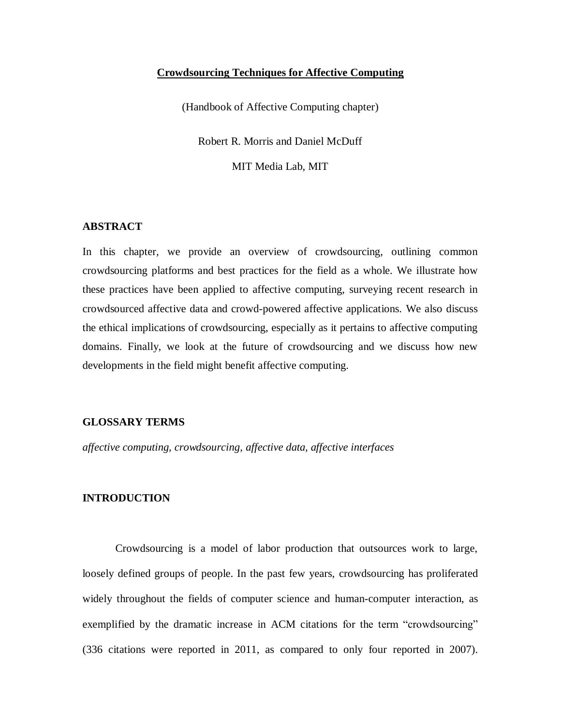## **Crowdsourcing Techniques for Affective Computing**

(Handbook of Affective Computing chapter)

Robert R. Morris and Daniel McDuff

MIT Media Lab, MIT

## **ABSTRACT**

In this chapter, we provide an overview of crowdsourcing, outlining common crowdsourcing platforms and best practices for the field as a whole. We illustrate how these practices have been applied to affective computing, surveying recent research in crowdsourced affective data and crowd-powered affective applications. We also discuss the ethical implications of crowdsourcing, especially as it pertains to affective computing domains. Finally, we look at the future of crowdsourcing and we discuss how new developments in the field might benefit affective computing.

## **GLOSSARY TERMS**

*affective computing, crowdsourcing, affective data, affective interfaces*

#### **INTRODUCTION**

Crowdsourcing is a model of labor production that outsources work to large, loosely defined groups of people. In the past few years, crowdsourcing has proliferated widely throughout the fields of computer science and human-computer interaction, as exemplified by the dramatic increase in ACM citations for the term "crowdsourcing" (336 citations were reported in 2011, as compared to only four reported in 2007).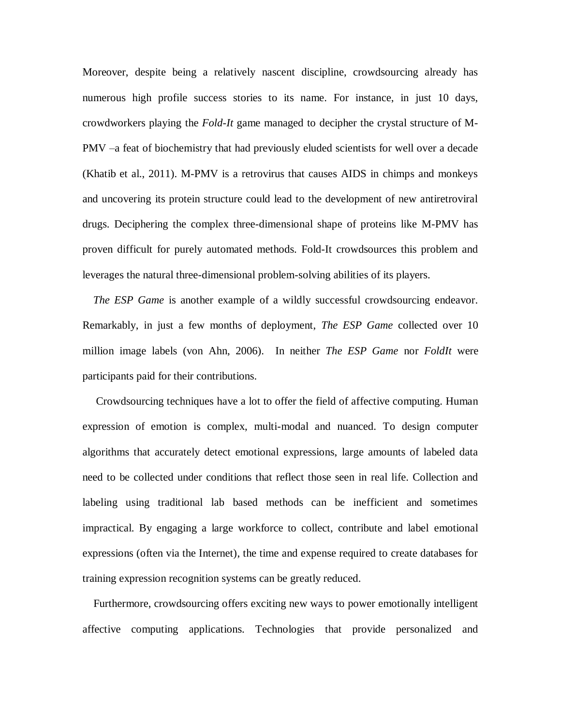Moreover, despite being a relatively nascent discipline, crowdsourcing already has numerous high profile success stories to its name. For instance, in just 10 days, crowdworkers playing the *Fold-It* game managed to decipher the crystal structure of M-PMV –a feat of biochemistry that had previously eluded scientists for well over a decade (Khatib et al., 2011). M-PMV is a retrovirus that causes AIDS in chimps and monkeys and uncovering its protein structure could lead to the development of new antiretroviral drugs. Deciphering the complex three-dimensional shape of proteins like M-PMV has proven difficult for purely automated methods. Fold-It crowdsources this problem and leverages the natural three-dimensional problem-solving abilities of its players.

 *The ESP Game* is another example of a wildly successful crowdsourcing endeavor. Remarkably, in just a few months of deployment, *The ESP Game* collected over 10 million image labels (von Ahn, 2006). In neither *The ESP Game* nor *FoldIt* were participants paid for their contributions.

 Crowdsourcing techniques have a lot to offer the field of affective computing. Human expression of emotion is complex, multi-modal and nuanced. To design computer algorithms that accurately detect emotional expressions, large amounts of labeled data need to be collected under conditions that reflect those seen in real life. Collection and labeling using traditional lab based methods can be inefficient and sometimes impractical. By engaging a large workforce to collect, contribute and label emotional expressions (often via the Internet), the time and expense required to create databases for training expression recognition systems can be greatly reduced.

 Furthermore, crowdsourcing offers exciting new ways to power emotionally intelligent affective computing applications. Technologies that provide personalized and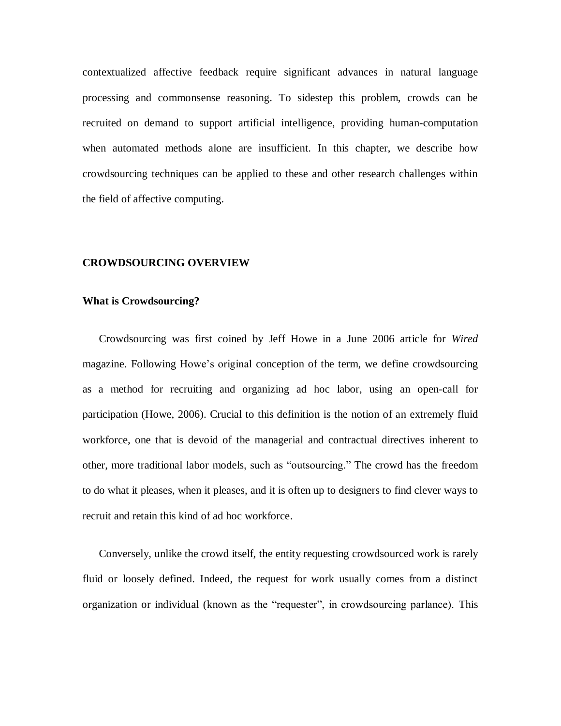contextualized affective feedback require significant advances in natural language processing and commonsense reasoning. To sidestep this problem, crowds can be recruited on demand to support artificial intelligence, providing human-computation when automated methods alone are insufficient. In this chapter, we describe how crowdsourcing techniques can be applied to these and other research challenges within the field of affective computing.

#### **CROWDSOURCING OVERVIEW**

#### **What is Crowdsourcing?**

Crowdsourcing was first coined by Jeff Howe in a June 2006 article for *Wired* magazine. Following Howe's original conception of the term, we define crowdsourcing as a method for recruiting and organizing ad hoc labor, using an open-call for participation (Howe, 2006). Crucial to this definition is the notion of an extremely fluid workforce, one that is devoid of the managerial and contractual directives inherent to other, more traditional labor models, such as "outsourcing." The crowd has the freedom to do what it pleases, when it pleases, and it is often up to designers to find clever ways to recruit and retain this kind of ad hoc workforce.

Conversely, unlike the crowd itself, the entity requesting crowdsourced work is rarely fluid or loosely defined. Indeed, the request for work usually comes from a distinct organization or individual (known as the "requester", in crowdsourcing parlance). This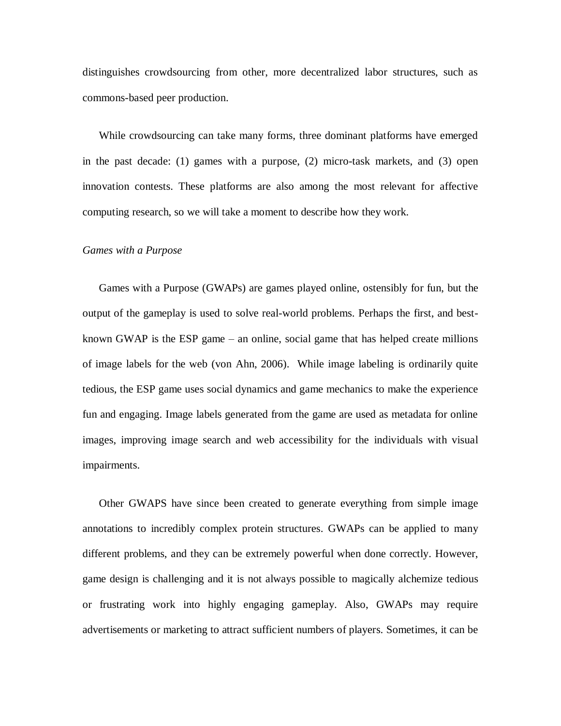distinguishes crowdsourcing from other, more decentralized labor structures, such as commons-based peer production.

While crowdsourcing can take many forms, three dominant platforms have emerged in the past decade: (1) games with a purpose, (2) micro-task markets, and (3) open innovation contests. These platforms are also among the most relevant for affective computing research, so we will take a moment to describe how they work.

#### *Games with a Purpose*

Games with a Purpose (GWAPs) are games played online, ostensibly for fun, but the output of the gameplay is used to solve real-world problems. Perhaps the first, and bestknown GWAP is the ESP game – an online, social game that has helped create millions of image labels for the web (von Ahn, 2006). While image labeling is ordinarily quite tedious, the ESP game uses social dynamics and game mechanics to make the experience fun and engaging. Image labels generated from the game are used as metadata for online images, improving image search and web accessibility for the individuals with visual impairments.

Other GWAPS have since been created to generate everything from simple image annotations to incredibly complex protein structures. GWAPs can be applied to many different problems, and they can be extremely powerful when done correctly. However, game design is challenging and it is not always possible to magically alchemize tedious or frustrating work into highly engaging gameplay. Also, GWAPs may require advertisements or marketing to attract sufficient numbers of players. Sometimes, it can be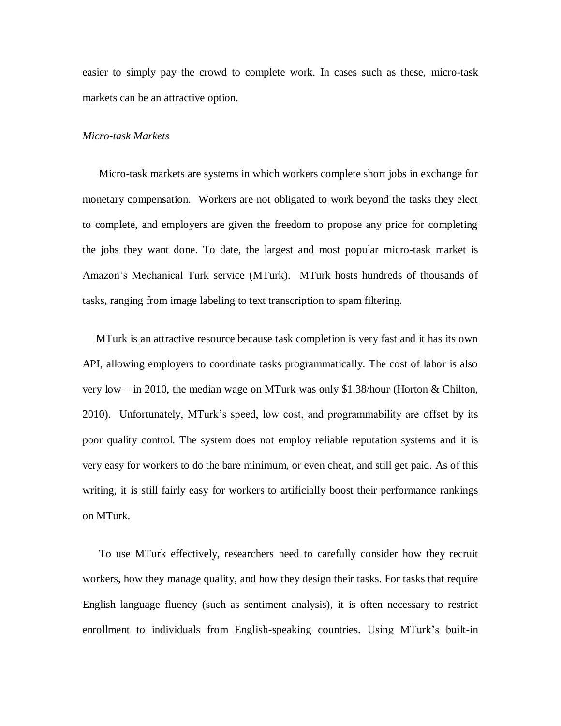easier to simply pay the crowd to complete work. In cases such as these, micro-task markets can be an attractive option.

#### *Micro-task Markets*

Micro-task markets are systems in which workers complete short jobs in exchange for monetary compensation. Workers are not obligated to work beyond the tasks they elect to complete, and employers are given the freedom to propose any price for completing the jobs they want done. To date, the largest and most popular micro-task market is Amazon's Mechanical Turk service (MTurk). MTurk hosts hundreds of thousands of tasks, ranging from image labeling to text transcription to spam filtering.

 MTurk is an attractive resource because task completion is very fast and it has its own API, allowing employers to coordinate tasks programmatically. The cost of labor is also very low – in 2010, the median wage on MTurk was only \$1.38/hour (Horton & Chilton, 2010). Unfortunately, MTurk's speed, low cost, and programmability are offset by its poor quality control. The system does not employ reliable reputation systems and it is very easy for workers to do the bare minimum, or even cheat, and still get paid. As of this writing, it is still fairly easy for workers to artificially boost their performance rankings on MTurk.

To use MTurk effectively, researchers need to carefully consider how they recruit workers, how they manage quality, and how they design their tasks. For tasks that require English language fluency (such as sentiment analysis), it is often necessary to restrict enrollment to individuals from English-speaking countries. Using MTurk's built-in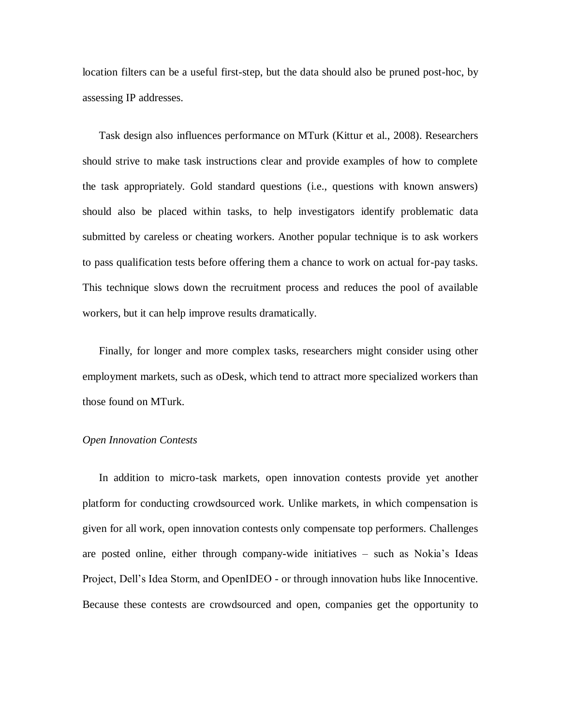location filters can be a useful first-step, but the data should also be pruned post-hoc, by assessing IP addresses.

Task design also influences performance on MTurk (Kittur et al., 2008). Researchers should strive to make task instructions clear and provide examples of how to complete the task appropriately. Gold standard questions (i.e., questions with known answers) should also be placed within tasks, to help investigators identify problematic data submitted by careless or cheating workers. Another popular technique is to ask workers to pass qualification tests before offering them a chance to work on actual for-pay tasks. This technique slows down the recruitment process and reduces the pool of available workers, but it can help improve results dramatically.

Finally, for longer and more complex tasks, researchers might consider using other employment markets, such as oDesk, which tend to attract more specialized workers than those found on MTurk.

### *Open Innovation Contests*

In addition to micro-task markets, open innovation contests provide yet another platform for conducting crowdsourced work. Unlike markets, in which compensation is given for all work, open innovation contests only compensate top performers. Challenges are posted online, either through company-wide initiatives – such as Nokia's Ideas Project, Dell's Idea Storm, and OpenIDEO - or through innovation hubs like Innocentive. Because these contests are crowdsourced and open, companies get the opportunity to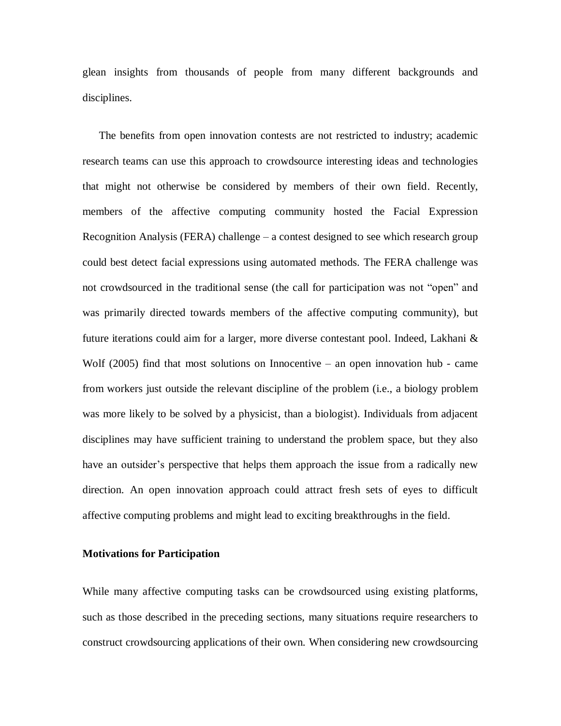glean insights from thousands of people from many different backgrounds and disciplines.

The benefits from open innovation contests are not restricted to industry; academic research teams can use this approach to crowdsource interesting ideas and technologies that might not otherwise be considered by members of their own field. Recently, members of the affective computing community hosted the Facial Expression Recognition Analysis (FERA) challenge – a contest designed to see which research group could best detect facial expressions using automated methods. The FERA challenge was not crowdsourced in the traditional sense (the call for participation was not "open" and was primarily directed towards members of the affective computing community), but future iterations could aim for a larger, more diverse contestant pool. Indeed, Lakhani & Wolf (2005) find that most solutions on Innocentive – an open innovation hub - came from workers just outside the relevant discipline of the problem (i.e., a biology problem was more likely to be solved by a physicist, than a biologist). Individuals from adjacent disciplines may have sufficient training to understand the problem space, but they also have an outsider's perspective that helps them approach the issue from a radically new direction. An open innovation approach could attract fresh sets of eyes to difficult affective computing problems and might lead to exciting breakthroughs in the field.

## **Motivations for Participation**

While many affective computing tasks can be crowdsourced using existing platforms, such as those described in the preceding sections, many situations require researchers to construct crowdsourcing applications of their own. When considering new crowdsourcing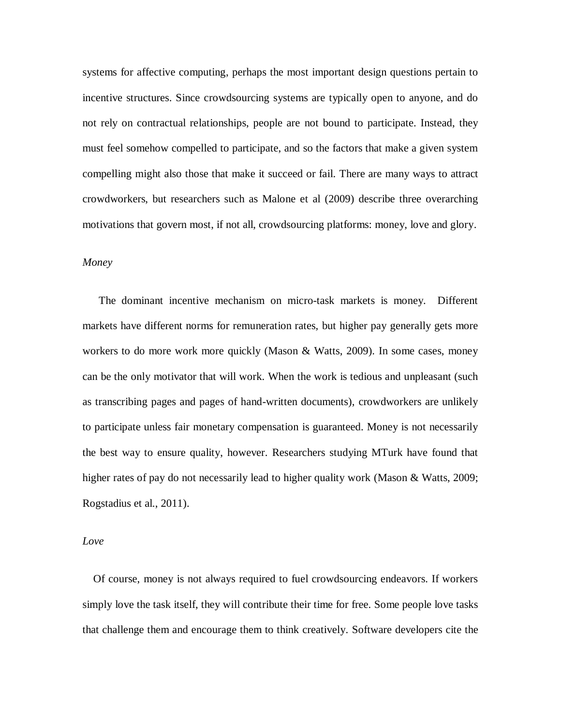systems for affective computing, perhaps the most important design questions pertain to incentive structures. Since crowdsourcing systems are typically open to anyone, and do not rely on contractual relationships, people are not bound to participate. Instead, they must feel somehow compelled to participate, and so the factors that make a given system compelling might also those that make it succeed or fail. There are many ways to attract crowdworkers, but researchers such as Malone et al (2009) describe three overarching motivations that govern most, if not all, crowdsourcing platforms: money, love and glory.

## *Money*

 The dominant incentive mechanism on micro-task markets is money. Different markets have different norms for remuneration rates, but higher pay generally gets more workers to do more work more quickly (Mason & Watts, 2009). In some cases, money can be the only motivator that will work. When the work is tedious and unpleasant (such as transcribing pages and pages of hand-written documents), crowdworkers are unlikely to participate unless fair monetary compensation is guaranteed. Money is not necessarily the best way to ensure quality, however. Researchers studying MTurk have found that higher rates of pay do not necessarily lead to higher quality work (Mason & Watts, 2009; Rogstadius et al., 2011).

#### *Love*

 Of course, money is not always required to fuel crowdsourcing endeavors. If workers simply love the task itself, they will contribute their time for free. Some people love tasks that challenge them and encourage them to think creatively. Software developers cite the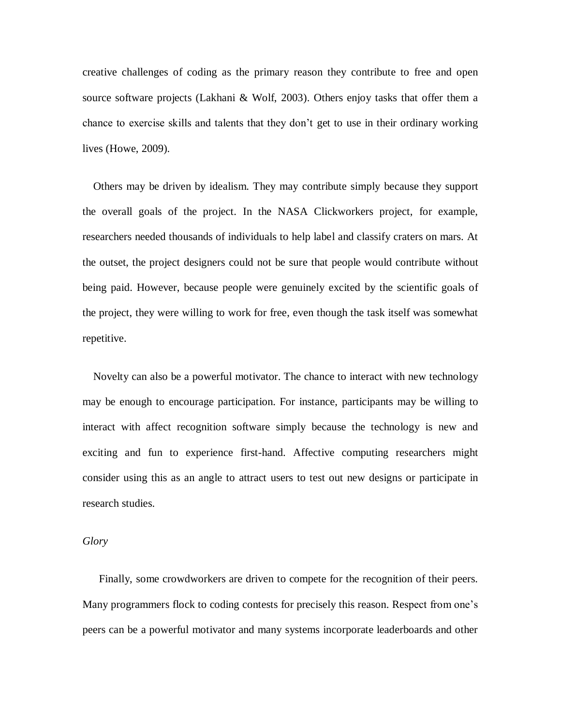creative challenges of coding as the primary reason they contribute to free and open source software projects (Lakhani & Wolf, 2003). Others enjoy tasks that offer them a chance to exercise skills and talents that they don't get to use in their ordinary working lives (Howe, 2009).

 Others may be driven by idealism. They may contribute simply because they support the overall goals of the project. In the NASA Clickworkers project, for example, researchers needed thousands of individuals to help label and classify craters on mars. At the outset, the project designers could not be sure that people would contribute without being paid. However, because people were genuinely excited by the scientific goals of the project, they were willing to work for free, even though the task itself was somewhat repetitive.

 Novelty can also be a powerful motivator. The chance to interact with new technology may be enough to encourage participation. For instance, participants may be willing to interact with affect recognition software simply because the technology is new and exciting and fun to experience first-hand. Affective computing researchers might consider using this as an angle to attract users to test out new designs or participate in research studies.

### *Glory*

 Finally, some crowdworkers are driven to compete for the recognition of their peers. Many programmers flock to coding contests for precisely this reason. Respect from one's peers can be a powerful motivator and many systems incorporate leaderboards and other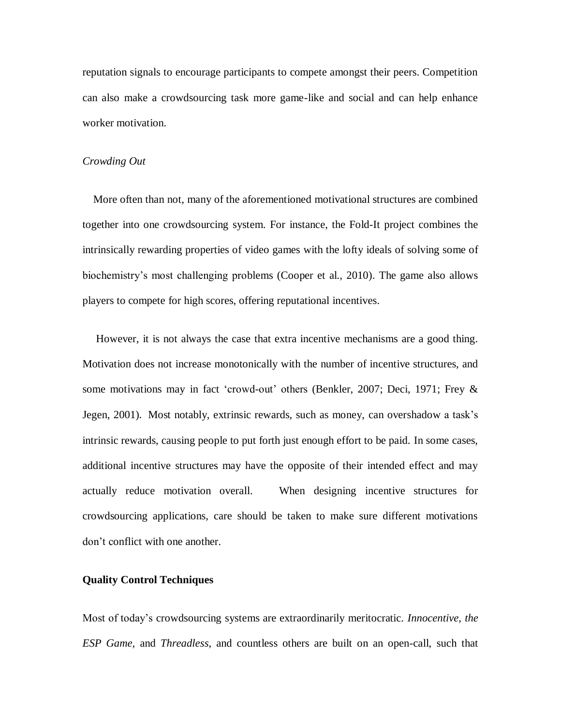reputation signals to encourage participants to compete amongst their peers. Competition can also make a crowdsourcing task more game-like and social and can help enhance worker motivation.

### *Crowding Out*

 More often than not, many of the aforementioned motivational structures are combined together into one crowdsourcing system. For instance, the Fold-It project combines the intrinsically rewarding properties of video games with the lofty ideals of solving some of biochemistry's most challenging problems (Cooper et al., 2010). The game also allows players to compete for high scores, offering reputational incentives.

 However, it is not always the case that extra incentive mechanisms are a good thing. Motivation does not increase monotonically with the number of incentive structures, and some motivations may in fact 'crowd-out' others (Benkler, 2007; Deci, 1971; Frey & Jegen, 2001). Most notably, extrinsic rewards, such as money, can overshadow a task's intrinsic rewards, causing people to put forth just enough effort to be paid. In some cases, additional incentive structures may have the opposite of their intended effect and may actually reduce motivation overall. When designing incentive structures for crowdsourcing applications, care should be taken to make sure different motivations don't conflict with one another.

## **Quality Control Techniques**

Most of today's crowdsourcing systems are extraordinarily meritocratic. *Innocentive, the ESP Game,* and *Threadless*, and countless others are built on an open-call, such that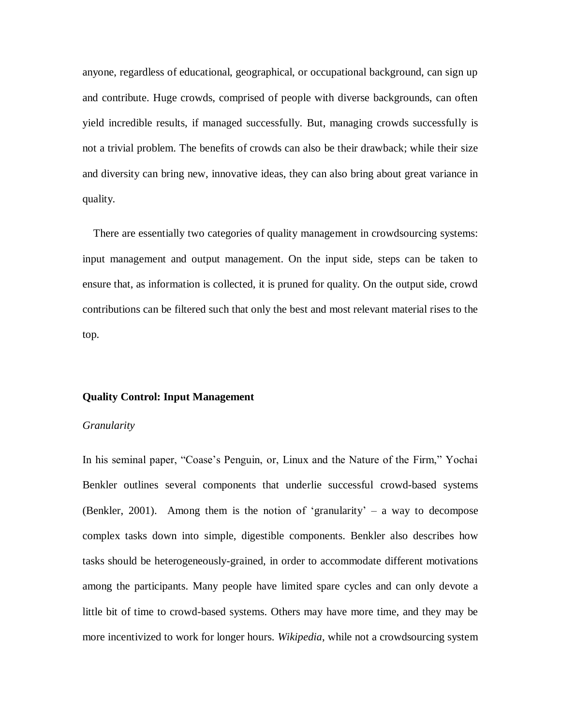anyone, regardless of educational, geographical, or occupational background, can sign up and contribute. Huge crowds, comprised of people with diverse backgrounds, can often yield incredible results, if managed successfully. But, managing crowds successfully is not a trivial problem. The benefits of crowds can also be their drawback; while their size and diversity can bring new, innovative ideas, they can also bring about great variance in quality.

 There are essentially two categories of quality management in crowdsourcing systems: input management and output management. On the input side, steps can be taken to ensure that, as information is collected, it is pruned for quality. On the output side, crowd contributions can be filtered such that only the best and most relevant material rises to the top.

#### **Quality Control: Input Management**

## *Granularity*

In his seminal paper, "Coase's Penguin, or, Linux and the Nature of the Firm," Yochai Benkler outlines several components that underlie successful crowd-based systems (Benkler, 2001). Among them is the notion of 'granularity' – a way to decompose complex tasks down into simple, digestible components. Benkler also describes how tasks should be heterogeneously-grained, in order to accommodate different motivations among the participants. Many people have limited spare cycles and can only devote a little bit of time to crowd-based systems. Others may have more time, and they may be more incentivized to work for longer hours. *Wikipedia*, while not a crowdsourcing system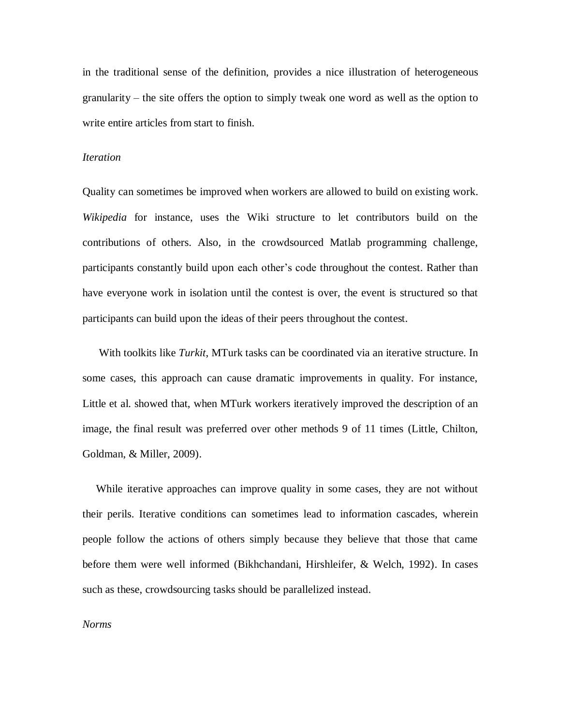in the traditional sense of the definition, provides a nice illustration of heterogeneous granularity – the site offers the option to simply tweak one word as well as the option to write entire articles from start to finish.

## *Iteration*

Quality can sometimes be improved when workers are allowed to build on existing work. *Wikipedia* for instance, uses the Wiki structure to let contributors build on the contributions of others. Also, in the crowdsourced Matlab programming challenge, participants constantly build upon each other's code throughout the contest. Rather than have everyone work in isolation until the contest is over, the event is structured so that participants can build upon the ideas of their peers throughout the contest.

 With toolkits like *Turkit*, MTurk tasks can be coordinated via an iterative structure. In some cases, this approach can cause dramatic improvements in quality. For instance, Little et al. showed that, when MTurk workers iteratively improved the description of an image, the final result was preferred over other methods 9 of 11 times (Little, Chilton, Goldman, & Miller, 2009).

 While iterative approaches can improve quality in some cases, they are not without their perils. Iterative conditions can sometimes lead to information cascades, wherein people follow the actions of others simply because they believe that those that came before them were well informed (Bikhchandani, Hirshleifer, & Welch, 1992). In cases such as these, crowdsourcing tasks should be parallelized instead.

#### *Norms*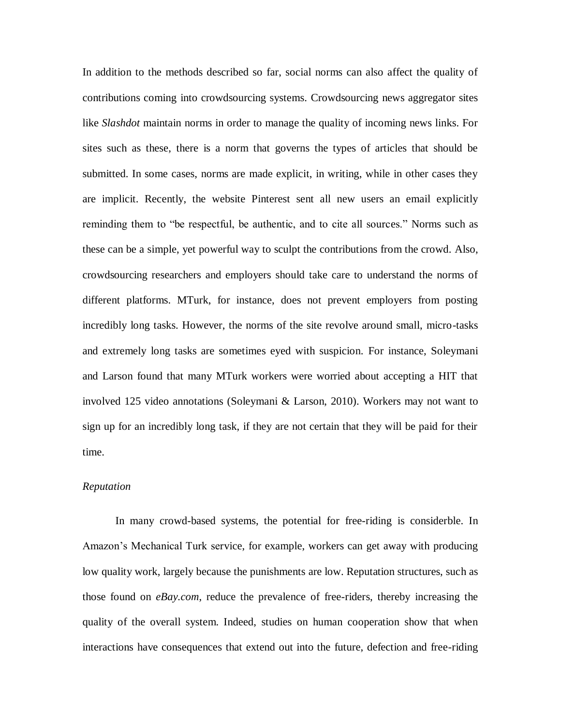In addition to the methods described so far, social norms can also affect the quality of contributions coming into crowdsourcing systems. Crowdsourcing news aggregator sites like *Slashdot* maintain norms in order to manage the quality of incoming news links. For sites such as these, there is a norm that governs the types of articles that should be submitted. In some cases, norms are made explicit, in writing, while in other cases they are implicit. Recently, the website Pinterest sent all new users an email explicitly reminding them to "be respectful, be authentic, and to cite all sources." Norms such as these can be a simple, yet powerful way to sculpt the contributions from the crowd. Also, crowdsourcing researchers and employers should take care to understand the norms of different platforms. MTurk, for instance, does not prevent employers from posting incredibly long tasks. However, the norms of the site revolve around small, micro-tasks and extremely long tasks are sometimes eyed with suspicion. For instance, Soleymani and Larson found that many MTurk workers were worried about accepting a HIT that involved 125 video annotations (Soleymani & Larson, 2010). Workers may not want to sign up for an incredibly long task, if they are not certain that they will be paid for their time.

#### *Reputation*

In many crowd-based systems, the potential for free-riding is considerble. In Amazon's Mechanical Turk service, for example, workers can get away with producing low quality work, largely because the punishments are low. Reputation structures, such as those found on *eBay.com*, reduce the prevalence of free-riders, thereby increasing the quality of the overall system. Indeed, studies on human cooperation show that when interactions have consequences that extend out into the future, defection and free-riding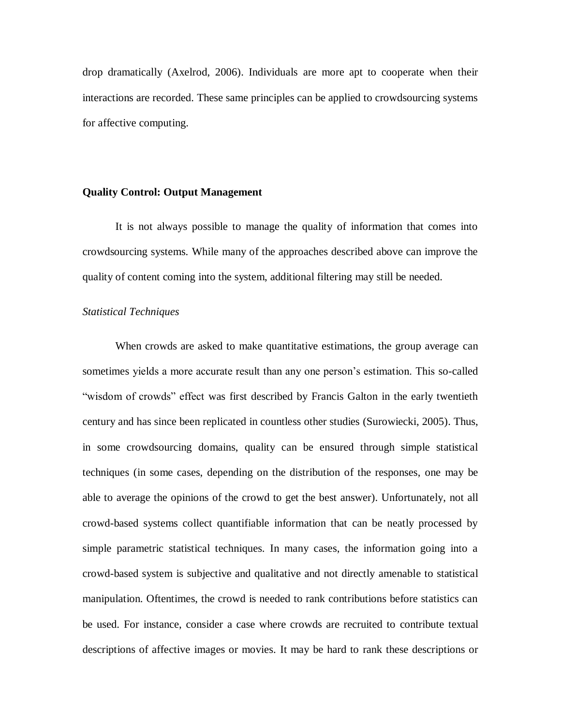drop dramatically (Axelrod, 2006). Individuals are more apt to cooperate when their interactions are recorded. These same principles can be applied to crowdsourcing systems for affective computing.

#### **Quality Control: Output Management**

It is not always possible to manage the quality of information that comes into crowdsourcing systems. While many of the approaches described above can improve the quality of content coming into the system, additional filtering may still be needed.

### *Statistical Techniques*

When crowds are asked to make quantitative estimations, the group average can sometimes yields a more accurate result than any one person's estimation. This so-called "wisdom of crowds" effect was first described by Francis Galton in the early twentieth century and has since been replicated in countless other studies (Surowiecki, 2005). Thus, in some crowdsourcing domains, quality can be ensured through simple statistical techniques (in some cases, depending on the distribution of the responses, one may be able to average the opinions of the crowd to get the best answer). Unfortunately, not all crowd-based systems collect quantifiable information that can be neatly processed by simple parametric statistical techniques. In many cases, the information going into a crowd-based system is subjective and qualitative and not directly amenable to statistical manipulation. Oftentimes, the crowd is needed to rank contributions before statistics can be used. For instance, consider a case where crowds are recruited to contribute textual descriptions of affective images or movies. It may be hard to rank these descriptions or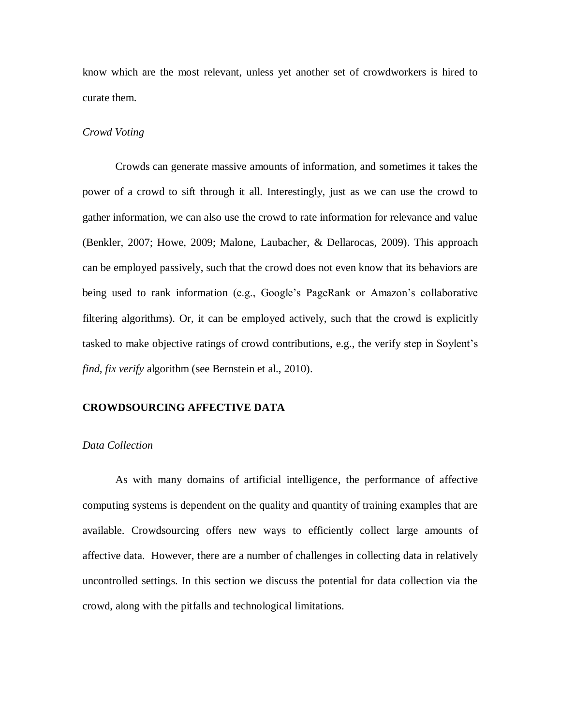know which are the most relevant, unless yet another set of crowdworkers is hired to curate them.

#### *Crowd Voting*

Crowds can generate massive amounts of information, and sometimes it takes the power of a crowd to sift through it all. Interestingly, just as we can use the crowd to gather information, we can also use the crowd to rate information for relevance and value (Benkler, 2007; Howe, 2009; Malone, Laubacher, & Dellarocas, 2009). This approach can be employed passively, such that the crowd does not even know that its behaviors are being used to rank information (e.g., Google's PageRank or Amazon's collaborative filtering algorithms). Or, it can be employed actively, such that the crowd is explicitly tasked to make objective ratings of crowd contributions, e.g., the verify step in Soylent's *find, fix verify* algorithm (see Bernstein et al., 2010).

## **CROWDSOURCING AFFECTIVE DATA**

# *Data Collection*

As with many domains of artificial intelligence, the performance of affective computing systems is dependent on the quality and quantity of training examples that are available. Crowdsourcing offers new ways to efficiently collect large amounts of affective data. However, there are a number of challenges in collecting data in relatively uncontrolled settings. In this section we discuss the potential for data collection via the crowd, along with the pitfalls and technological limitations.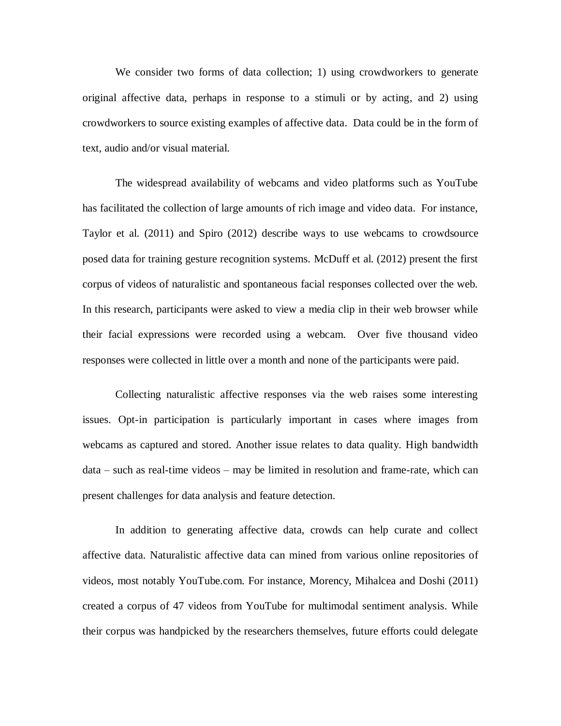We consider two forms of data collection; 1) using crowdworkers to generate original affective data, perhaps in response to a stimuli or by acting, and 2) using crowdworkers to source existing examples of affective data. Data could be in the form of text, audio and/or visual material.

The widespread availability of webcams and video platforms such as YouTube has facilitated the collection of large amounts of rich image and video data. For instance, Taylor et al. (2011) and Spiro (2012) describe ways to use webcams to crowdsource posed data for training gesture recognition systems. McDuff et al. (2012) present the first corpus of videos of naturalistic and spontaneous facial responses collected over the web. In this research, participants were asked to view a media clip in their web browser while their facial expressions were recorded using a webcam. Over five thousand video responses were collected in little over a month and none of the participants were paid.

Collecting naturalistic affective responses via the web raises some interesting issues. Opt-in participation is particularly important in cases where images from webcams as captured and stored. Another issue relates to data quality. High bandwidth data – such as real-time videos – may be limited in resolution and frame-rate, which can present challenges for data analysis and feature detection.

In addition to generating affective data, crowds can help curate and collect affective data. Naturalistic affective data can mined from various online repositories of videos, most notably YouTube.com. For instance, Morency, Mihalcea and Doshi (2011) created a corpus of 47 videos from YouTube for multimodal sentiment analysis. While their corpus was handpicked by the researchers themselves, future efforts could delegate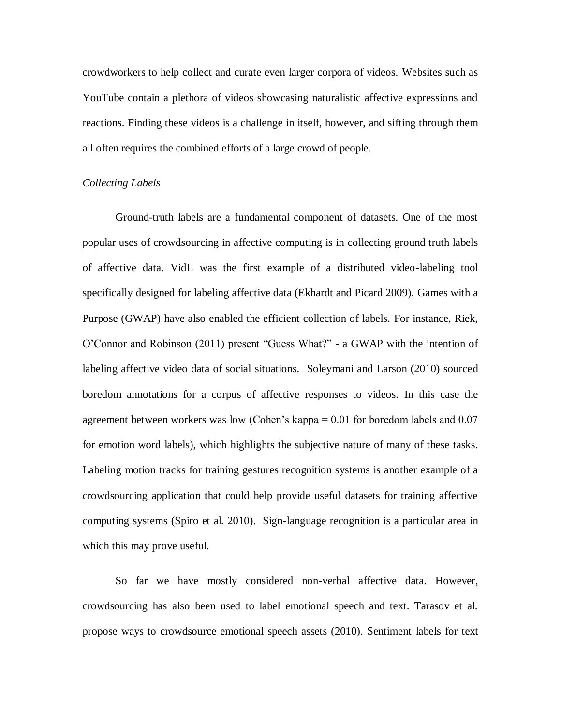crowdworkers to help collect and curate even larger corpora of videos. Websites such as YouTube contain a plethora of videos showcasing naturalistic affective expressions and reactions. Finding these videos is a challenge in itself, however, and sifting through them all often requires the combined efforts of a large crowd of people.

## *Collecting Labels*

Ground-truth labels are a fundamental component of datasets. One of the most popular uses of crowdsourcing in affective computing is in collecting ground truth labels of affective data. VidL was the first example of a distributed video-labeling tool specifically designed for labeling affective data (Ekhardt and Picard 2009). Games with a Purpose (GWAP) have also enabled the efficient collection of labels. For instance, Riek, O'Connor and Robinson (2011) present "Guess What?" - a GWAP with the intention of labeling affective video data of social situations. Soleymani and Larson (2010) sourced boredom annotations for a corpus of affective responses to videos. In this case the agreement between workers was low (Cohen's kappa  $= 0.01$  for boredom labels and  $0.07$ ) for emotion word labels), which highlights the subjective nature of many of these tasks. Labeling motion tracks for training gestures recognition systems is another example of a crowdsourcing application that could help provide useful datasets for training affective computing systems (Spiro et al. 2010). Sign-language recognition is a particular area in which this may prove useful.

So far we have mostly considered non-verbal affective data. However, crowdsourcing has also been used to label emotional speech and text. Tarasov et al. propose ways to crowdsource emotional speech assets (2010). Sentiment labels for text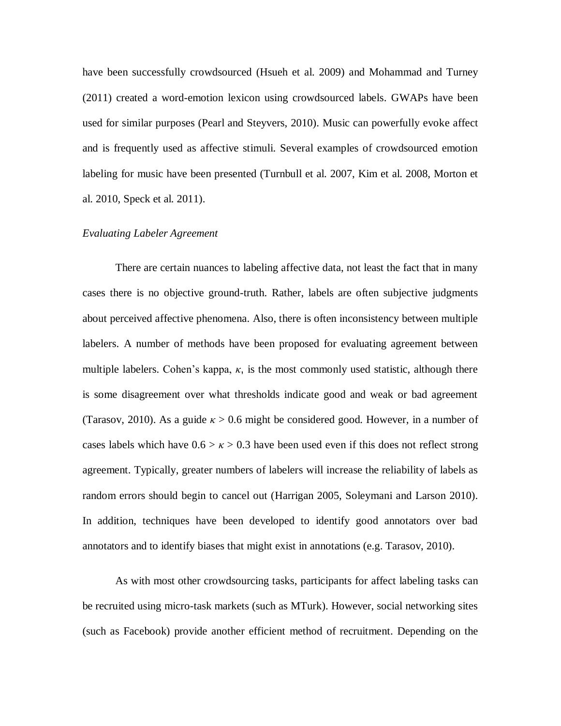have been successfully crowdsourced (Hsueh et al. 2009) and Mohammad and Turney (2011) created a word-emotion lexicon using crowdsourced labels. GWAPs have been used for similar purposes (Pearl and Steyvers, 2010). Music can powerfully evoke affect and is frequently used as affective stimuli. Several examples of crowdsourced emotion labeling for music have been presented (Turnbull et al. 2007, Kim et al. 2008, Morton et al. 2010, Speck et al. 2011).

### *Evaluating Labeler Agreement*

There are certain nuances to labeling affective data, not least the fact that in many cases there is no objective ground-truth. Rather, labels are often subjective judgments about perceived affective phenomena. Also, there is often inconsistency between multiple labelers. A number of methods have been proposed for evaluating agreement between multiple labelers. Cohen's kappa,  $\kappa$ , is the most commonly used statistic, although there is some disagreement over what thresholds indicate good and weak or bad agreement (Tarasov, 2010). As a guide  $\kappa > 0.6$  might be considered good. However, in a number of cases labels which have  $0.6 > \kappa > 0.3$  have been used even if this does not reflect strong agreement. Typically, greater numbers of labelers will increase the reliability of labels as random errors should begin to cancel out (Harrigan 2005, Soleymani and Larson 2010). In addition, techniques have been developed to identify good annotators over bad annotators and to identify biases that might exist in annotations (e.g. Tarasov, 2010).

As with most other crowdsourcing tasks, participants for affect labeling tasks can be recruited using micro-task markets (such as MTurk). However, social networking sites (such as Facebook) provide another efficient method of recruitment. Depending on the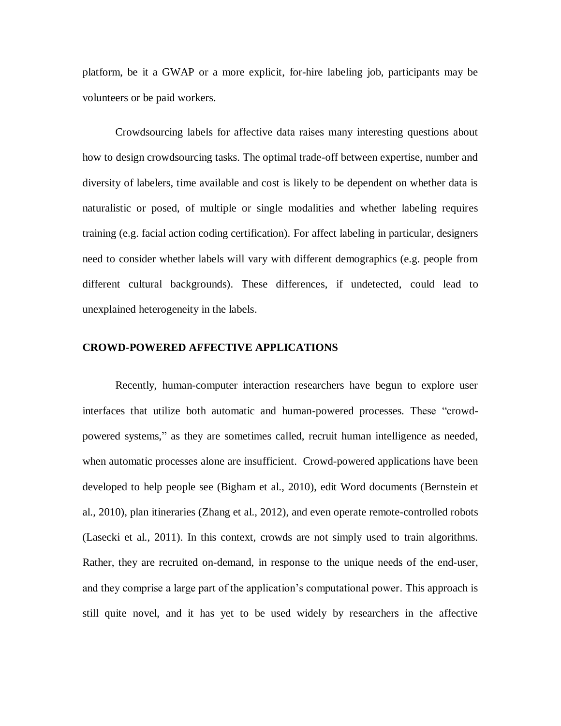platform, be it a GWAP or a more explicit, for-hire labeling job, participants may be volunteers or be paid workers.

Crowdsourcing labels for affective data raises many interesting questions about how to design crowdsourcing tasks. The optimal trade-off between expertise, number and diversity of labelers, time available and cost is likely to be dependent on whether data is naturalistic or posed, of multiple or single modalities and whether labeling requires training (e.g. facial action coding certification). For affect labeling in particular, designers need to consider whether labels will vary with different demographics (e.g. people from different cultural backgrounds). These differences, if undetected, could lead to unexplained heterogeneity in the labels.

## **CROWD-POWERED AFFECTIVE APPLICATIONS**

Recently, human-computer interaction researchers have begun to explore user interfaces that utilize both automatic and human-powered processes. These "crowdpowered systems," as they are sometimes called, recruit human intelligence as needed, when automatic processes alone are insufficient. Crowd-powered applications have been developed to help people see (Bigham et al., 2010), edit Word documents (Bernstein et al., 2010), plan itineraries (Zhang et al., 2012), and even operate remote-controlled robots (Lasecki et al., 2011). In this context, crowds are not simply used to train algorithms. Rather, they are recruited on-demand, in response to the unique needs of the end-user, and they comprise a large part of the application's computational power. This approach is still quite novel, and it has yet to be used widely by researchers in the affective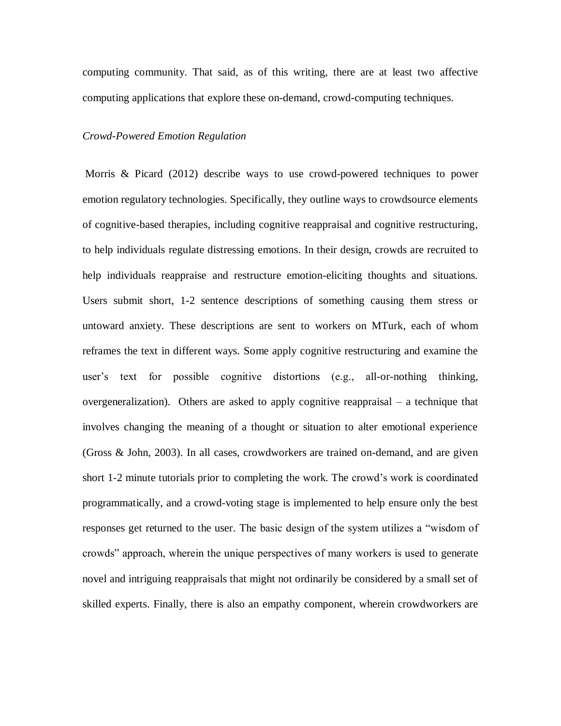computing community. That said, as of this writing, there are at least two affective computing applications that explore these on-demand, crowd-computing techniques.

#### *Crowd-Powered Emotion Regulation*

Morris & Picard (2012) describe ways to use crowd-powered techniques to power emotion regulatory technologies. Specifically, they outline ways to crowdsource elements of cognitive-based therapies, including cognitive reappraisal and cognitive restructuring, to help individuals regulate distressing emotions. In their design, crowds are recruited to help individuals reappraise and restructure emotion-eliciting thoughts and situations. Users submit short, 1-2 sentence descriptions of something causing them stress or untoward anxiety. These descriptions are sent to workers on MTurk, each of whom reframes the text in different ways. Some apply cognitive restructuring and examine the user's text for possible cognitive distortions (e.g., all-or-nothing thinking, overgeneralization). Others are asked to apply cognitive reappraisal – a technique that involves changing the meaning of a thought or situation to alter emotional experience (Gross & John, 2003). In all cases, crowdworkers are trained on-demand, and are given short 1-2 minute tutorials prior to completing the work. The crowd's work is coordinated programmatically, and a crowd-voting stage is implemented to help ensure only the best responses get returned to the user. The basic design of the system utilizes a "wisdom of crowds" approach, wherein the unique perspectives of many workers is used to generate novel and intriguing reappraisals that might not ordinarily be considered by a small set of skilled experts. Finally, there is also an empathy component, wherein crowdworkers are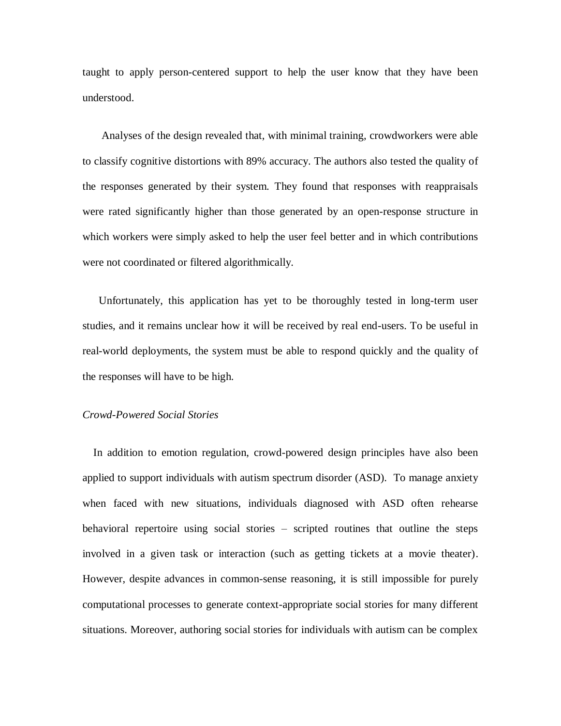taught to apply person-centered support to help the user know that they have been understood.

 Analyses of the design revealed that, with minimal training, crowdworkers were able to classify cognitive distortions with 89% accuracy. The authors also tested the quality of the responses generated by their system. They found that responses with reappraisals were rated significantly higher than those generated by an open-response structure in which workers were simply asked to help the user feel better and in which contributions were not coordinated or filtered algorithmically.

 Unfortunately, this application has yet to be thoroughly tested in long-term user studies, and it remains unclear how it will be received by real end-users. To be useful in real-world deployments, the system must be able to respond quickly and the quality of the responses will have to be high.

# *Crowd-Powered Social Stories*

 In addition to emotion regulation, crowd-powered design principles have also been applied to support individuals with autism spectrum disorder (ASD). To manage anxiety when faced with new situations, individuals diagnosed with ASD often rehearse behavioral repertoire using social stories – scripted routines that outline the steps involved in a given task or interaction (such as getting tickets at a movie theater). However, despite advances in common-sense reasoning, it is still impossible for purely computational processes to generate context-appropriate social stories for many different situations. Moreover, authoring social stories for individuals with autism can be complex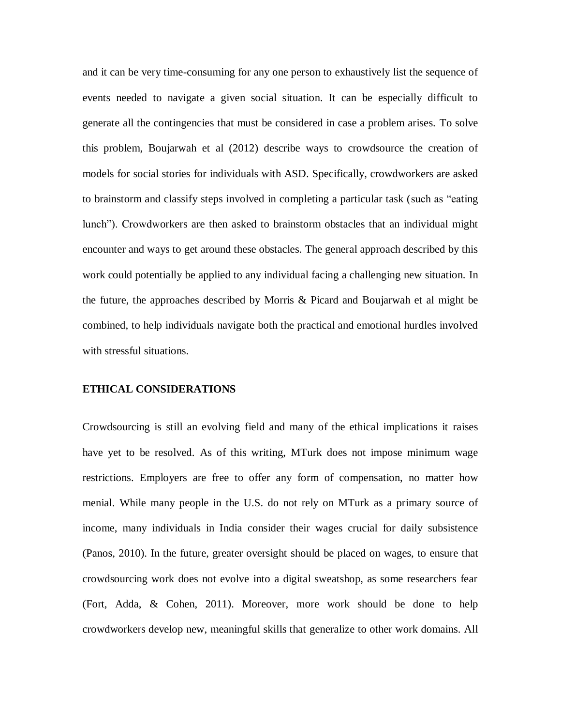and it can be very time-consuming for any one person to exhaustively list the sequence of events needed to navigate a given social situation. It can be especially difficult to generate all the contingencies that must be considered in case a problem arises. To solve this problem, Boujarwah et al (2012) describe ways to crowdsource the creation of models for social stories for individuals with ASD. Specifically, crowdworkers are asked to brainstorm and classify steps involved in completing a particular task (such as "eating lunch"). Crowdworkers are then asked to brainstorm obstacles that an individual might encounter and ways to get around these obstacles. The general approach described by this work could potentially be applied to any individual facing a challenging new situation. In the future, the approaches described by Morris & Picard and Boujarwah et al might be combined, to help individuals navigate both the practical and emotional hurdles involved with stressful situations.

## **ETHICAL CONSIDERATIONS**

Crowdsourcing is still an evolving field and many of the ethical implications it raises have yet to be resolved. As of this writing, MTurk does not impose minimum wage restrictions. Employers are free to offer any form of compensation, no matter how menial. While many people in the U.S. do not rely on MTurk as a primary source of income, many individuals in India consider their wages crucial for daily subsistence (Panos, 2010). In the future, greater oversight should be placed on wages, to ensure that crowdsourcing work does not evolve into a digital sweatshop, as some researchers fear (Fort, Adda, & Cohen, 2011). Moreover, more work should be done to help crowdworkers develop new, meaningful skills that generalize to other work domains. All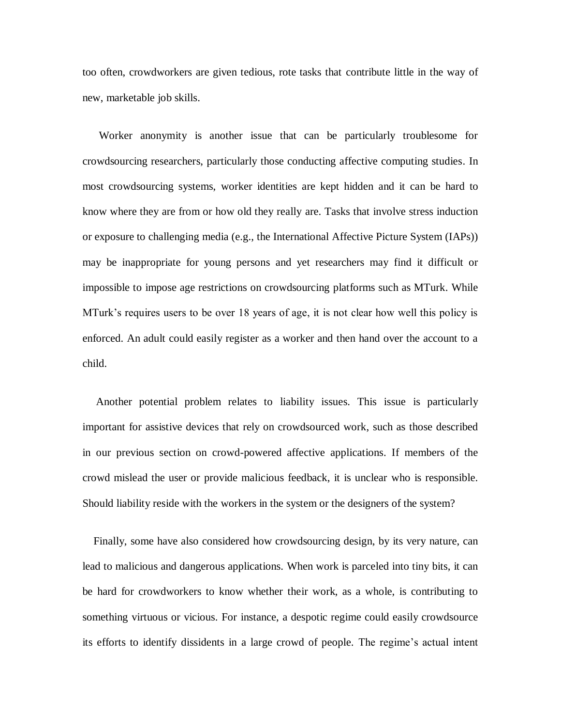too often, crowdworkers are given tedious, rote tasks that contribute little in the way of new, marketable job skills.

 Worker anonymity is another issue that can be particularly troublesome for crowdsourcing researchers, particularly those conducting affective computing studies. In most crowdsourcing systems, worker identities are kept hidden and it can be hard to know where they are from or how old they really are. Tasks that involve stress induction or exposure to challenging media (e.g., the International Affective Picture System (IAPs)) may be inappropriate for young persons and yet researchers may find it difficult or impossible to impose age restrictions on crowdsourcing platforms such as MTurk. While MTurk's requires users to be over 18 years of age, it is not clear how well this policy is enforced. An adult could easily register as a worker and then hand over the account to a child.

 Another potential problem relates to liability issues. This issue is particularly important for assistive devices that rely on crowdsourced work, such as those described in our previous section on crowd-powered affective applications. If members of the crowd mislead the user or provide malicious feedback, it is unclear who is responsible. Should liability reside with the workers in the system or the designers of the system?

 Finally, some have also considered how crowdsourcing design, by its very nature, can lead to malicious and dangerous applications. When work is parceled into tiny bits, it can be hard for crowdworkers to know whether their work, as a whole, is contributing to something virtuous or vicious. For instance, a despotic regime could easily crowdsource its efforts to identify dissidents in a large crowd of people. The regime's actual intent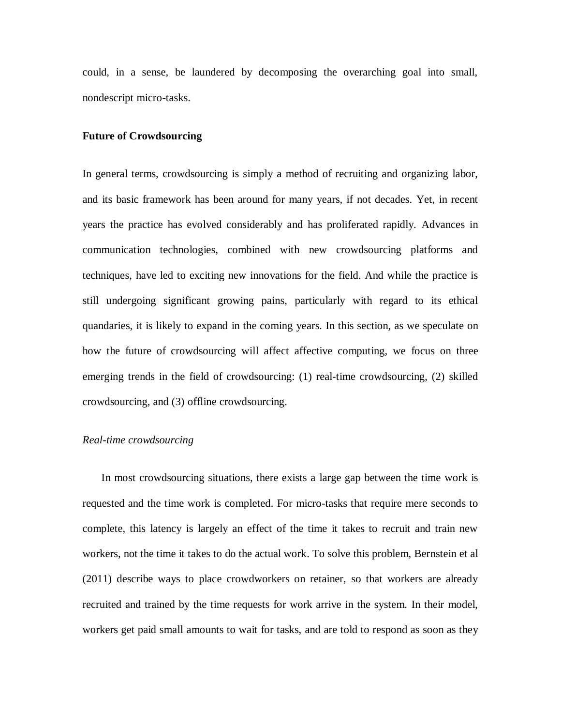could, in a sense, be laundered by decomposing the overarching goal into small, nondescript micro-tasks.

## **Future of Crowdsourcing**

In general terms, crowdsourcing is simply a method of recruiting and organizing labor, and its basic framework has been around for many years, if not decades. Yet, in recent years the practice has evolved considerably and has proliferated rapidly. Advances in communication technologies, combined with new crowdsourcing platforms and techniques, have led to exciting new innovations for the field. And while the practice is still undergoing significant growing pains, particularly with regard to its ethical quandaries, it is likely to expand in the coming years. In this section, as we speculate on how the future of crowdsourcing will affect affective computing, we focus on three emerging trends in the field of crowdsourcing: (1) real-time crowdsourcing, (2) skilled crowdsourcing, and (3) offline crowdsourcing.

## *Real-time crowdsourcing*

 In most crowdsourcing situations, there exists a large gap between the time work is requested and the time work is completed. For micro-tasks that require mere seconds to complete, this latency is largely an effect of the time it takes to recruit and train new workers, not the time it takes to do the actual work. To solve this problem, Bernstein et al (2011) describe ways to place crowdworkers on retainer, so that workers are already recruited and trained by the time requests for work arrive in the system. In their model, workers get paid small amounts to wait for tasks, and are told to respond as soon as they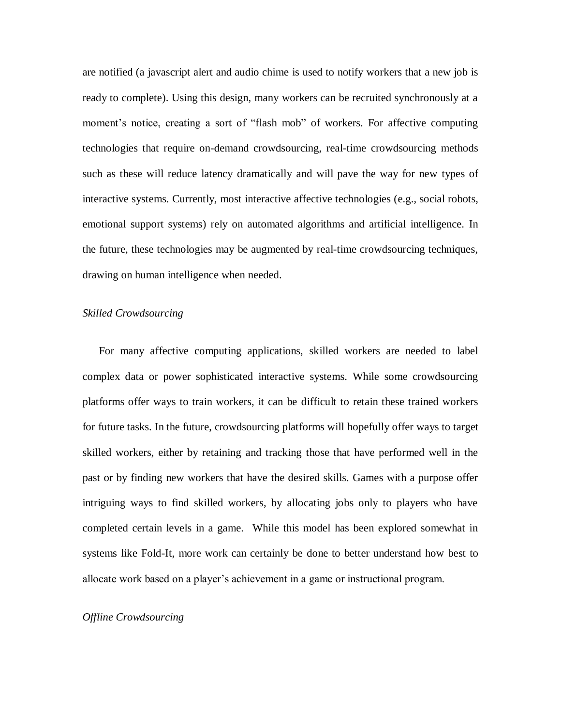are notified (a javascript alert and audio chime is used to notify workers that a new job is ready to complete). Using this design, many workers can be recruited synchronously at a moment's notice, creating a sort of "flash mob" of workers. For affective computing technologies that require on-demand crowdsourcing, real-time crowdsourcing methods such as these will reduce latency dramatically and will pave the way for new types of interactive systems. Currently, most interactive affective technologies (e.g., social robots, emotional support systems) rely on automated algorithms and artificial intelligence. In the future, these technologies may be augmented by real-time crowdsourcing techniques, drawing on human intelligence when needed.

## *Skilled Crowdsourcing*

 For many affective computing applications, skilled workers are needed to label complex data or power sophisticated interactive systems. While some crowdsourcing platforms offer ways to train workers, it can be difficult to retain these trained workers for future tasks. In the future, crowdsourcing platforms will hopefully offer ways to target skilled workers, either by retaining and tracking those that have performed well in the past or by finding new workers that have the desired skills. Games with a purpose offer intriguing ways to find skilled workers, by allocating jobs only to players who have completed certain levels in a game. While this model has been explored somewhat in systems like Fold-It, more work can certainly be done to better understand how best to allocate work based on a player's achievement in a game or instructional program.

### *Offline Crowdsourcing*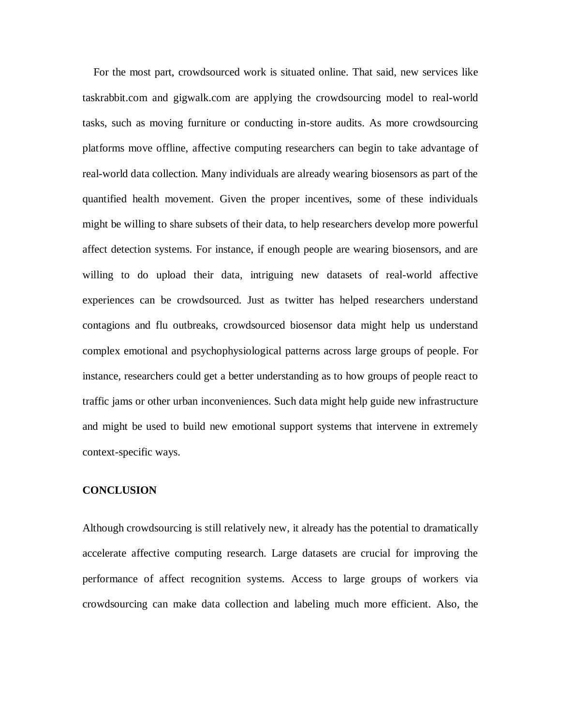For the most part, crowdsourced work is situated online. That said, new services like taskrabbit.com and gigwalk.com are applying the crowdsourcing model to real-world tasks, such as moving furniture or conducting in-store audits. As more crowdsourcing platforms move offline, affective computing researchers can begin to take advantage of real-world data collection. Many individuals are already wearing biosensors as part of the quantified health movement. Given the proper incentives, some of these individuals might be willing to share subsets of their data, to help researchers develop more powerful affect detection systems. For instance, if enough people are wearing biosensors, and are willing to do upload their data, intriguing new datasets of real-world affective experiences can be crowdsourced. Just as twitter has helped researchers understand contagions and flu outbreaks, crowdsourced biosensor data might help us understand complex emotional and psychophysiological patterns across large groups of people. For instance, researchers could get a better understanding as to how groups of people react to traffic jams or other urban inconveniences. Such data might help guide new infrastructure and might be used to build new emotional support systems that intervene in extremely context-specific ways.

## **CONCLUSION**

Although crowdsourcing is still relatively new, it already has the potential to dramatically accelerate affective computing research. Large datasets are crucial for improving the performance of affect recognition systems. Access to large groups of workers via crowdsourcing can make data collection and labeling much more efficient. Also, the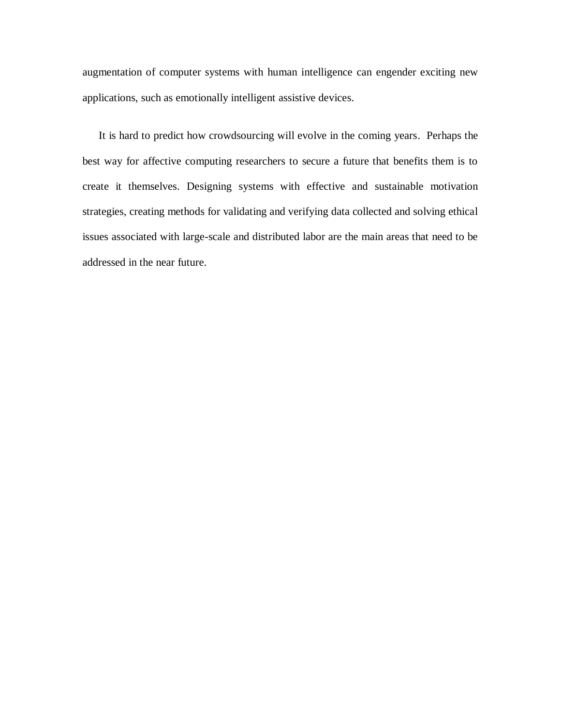augmentation of computer systems with human intelligence can engender exciting new applications, such as emotionally intelligent assistive devices.

 It is hard to predict how crowdsourcing will evolve in the coming years. Perhaps the best way for affective computing researchers to secure a future that benefits them is to create it themselves. Designing systems with effective and sustainable motivation strategies, creating methods for validating and verifying data collected and solving ethical issues associated with large-scale and distributed labor are the main areas that need to be addressed in the near future.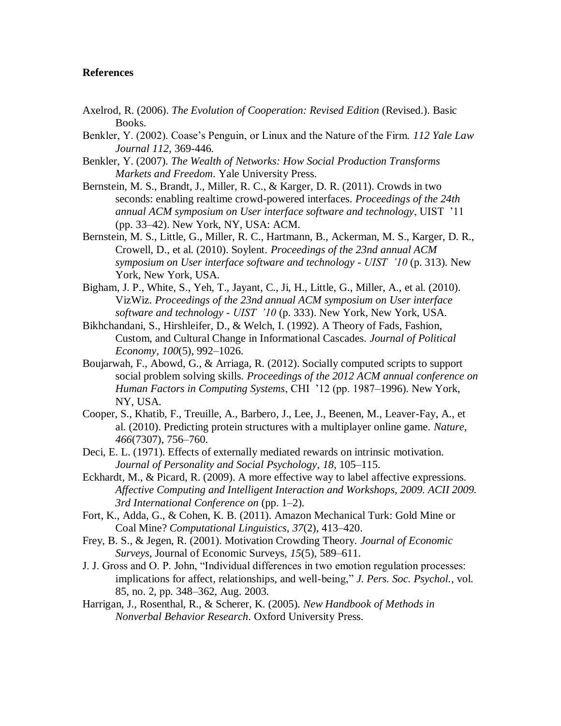## **References**

- Axelrod, R. (2006). *The Evolution of Cooperation: Revised Edition* (Revised.). Basic Books.
- Benkler, Y. (2002). Coase's Penguin, or Linux and the Nature of the Firm. *112 Yale Law Journal 112,* 369-446.
- Benkler, Y. (2007). *The Wealth of Networks: How Social Production Transforms Markets and Freedom*. Yale University Press.
- Bernstein, M. S., Brandt, J., Miller, R. C., & Karger, D. R. (2011). Crowds in two seconds: enabling realtime crowd-powered interfaces. *Proceedings of the 24th annual ACM symposium on User interface software and technology*, UIST '11 (pp. 33–42). New York, NY, USA: ACM.
- Bernstein, M. S., Little, G., Miller, R. C., Hartmann, B., Ackerman, M. S., Karger, D. R., Crowell, D., et al. (2010). Soylent. *Proceedings of the 23nd annual ACM symposium on User interface software and technology - UIST '10* (p. 313). New York, New York, USA.
- Bigham, J. P., White, S., Yeh, T., Jayant, C., Ji, H., Little, G., Miller, A., et al. (2010). VizWiz. *Proceedings of the 23nd annual ACM symposium on User interface software and technology - UIST '10* (p. 333). New York, New York, USA.
- Bikhchandani, S., Hirshleifer, D., & Welch, I. (1992). A Theory of Fads, Fashion, Custom, and Cultural Change in Informational Cascades. *Journal of Political Economy*, *100*(5), 992–1026.
- Boujarwah, F., Abowd, G., & Arriaga, R. (2012). Socially computed scripts to support social problem solving skills. *Proceedings of the 2012 ACM annual conference on Human Factors in Computing Systems*, CHI '12 (pp. 1987–1996). New York, NY, USA.
- Cooper, S., Khatib, F., Treuille, A., Barbero, J., Lee, J., Beenen, M., Leaver-Fay, A., et al. (2010). Predicting protein structures with a multiplayer online game. *Nature*, *466*(7307), 756–760.
- Deci, E. L. (1971). Effects of externally mediated rewards on intrinsic motivation. *Journal of Personality and Social Psychology*, *18*, 105–115.
- Eckhardt, M., & Picard, R. (2009). A more effective way to label affective expressions. *Affective Computing and Intelligent Interaction and Workshops, 2009. ACII 2009. 3rd International Conference on* (pp. 1–2).
- Fort, K., Adda, G., & Cohen, K. B. (2011). Amazon Mechanical Turk: Gold Mine or Coal Mine? *Computational Linguistics*, *37*(2), 413–420.
- Frey, B. S., & Jegen, R. (2001). Motivation Crowding Theory. *Journal of Economic Surveys*, Journal of Economic Surveys, *15*(5), 589–611.
- J. J. Gross and O. P. John, "Individual differences in two emotion regulation processes: implications for affect, relationships, and well-being," *J. Pers. Soc. Psychol.*, vol. 85, no. 2, pp. 348–362, Aug. 2003.
- Harrigan, J., Rosenthal, R., & Scherer, K. (2005). *New Handbook of Methods in Nonverbal Behavior Research*. Oxford University Press.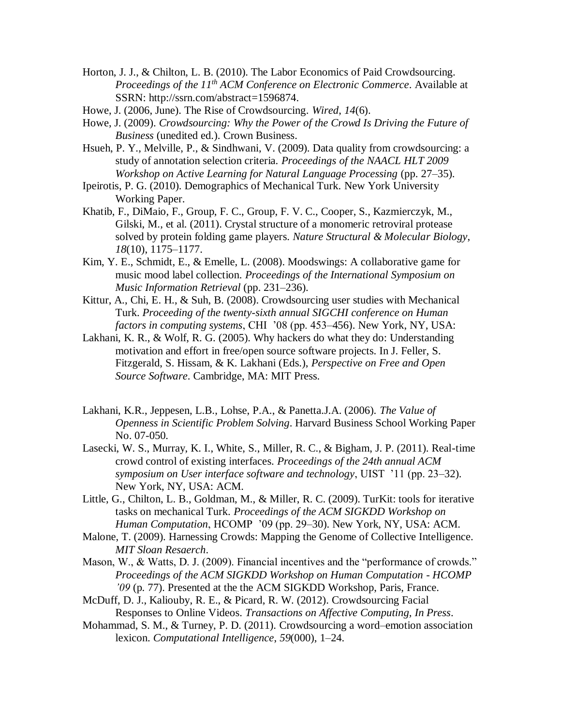- Horton, J. J., & Chilton, L. B. (2010). The Labor Economics of Paid Crowdsourcing. *Proceedings of the 11th ACM Conference on Electronic Commerce*. Available at SSRN: http://ssrn.com/abstract=1596874.
- Howe, J. (2006, June). The Rise of Crowdsourcing. *Wired*, *14*(6).
- Howe, J. (2009). *Crowdsourcing: Why the Power of the Crowd Is Driving the Future of Business* (unedited ed.). Crown Business.
- Hsueh, P. Y., Melville, P., & Sindhwani, V. (2009). Data quality from crowdsourcing: a study of annotation selection criteria. *Proceedings of the NAACL HLT 2009 Workshop on Active Learning for Natural Language Processing* (pp. 27–35).
- Ipeirotis, P. G. (2010). Demographics of Mechanical Turk. New York University Working Paper.
- Khatib, F., DiMaio, F., Group, F. C., Group, F. V. C., Cooper, S., Kazmierczyk, M., Gilski, M., et al. (2011). Crystal structure of a monomeric retroviral protease solved by protein folding game players. *Nature Structural & Molecular Biology*, *18*(10), 1175–1177.
- Kim, Y. E., Schmidt, E., & Emelle, L. (2008). Moodswings: A collaborative game for music mood label collection. *Proceedings of the International Symposium on Music Information Retrieval* (pp. 231–236).
- Kittur, A., Chi, E. H., & Suh, B. (2008). Crowdsourcing user studies with Mechanical Turk. *Proceeding of the twenty-sixth annual SIGCHI conference on Human factors in computing systems*, CHI '08 (pp. 453–456). New York, NY, USA:
- Lakhani, K. R., & Wolf, R. G. (2005). Why hackers do what they do: Understanding motivation and effort in free/open source software projects. In J. Feller, S. Fitzgerald, S. Hissam, & K. Lakhani (Eds.), *Perspective on Free and Open Source Software*. Cambridge, MA: MIT Press.
- Lakhani, K.R., Jeppesen, L.B., Lohse, P.A., & Panetta.J.A. (2006). *The Value of Openness in Scientific Problem Solving*. Harvard Business School Working Paper No. 07-050.
- Lasecki, W. S., Murray, K. I., White, S., Miller, R. C., & Bigham, J. P. (2011). Real-time crowd control of existing interfaces. *Proceedings of the 24th annual ACM symposium on User interface software and technology*, UIST '11 (pp. 23–32). New York, NY, USA: ACM.
- Little, G., Chilton, L. B., Goldman, M., & Miller, R. C. (2009). TurKit: tools for iterative tasks on mechanical Turk. *Proceedings of the ACM SIGKDD Workshop on Human Computation*, HCOMP '09 (pp. 29–30). New York, NY, USA: ACM.
- Malone, T. (2009). Harnessing Crowds: Mapping the Genome of Collective Intelligence. *MIT Sloan Resaerch*.
- Mason, W., & Watts, D. J. (2009). Financial incentives and the "performance of crowds." *Proceedings of the ACM SIGKDD Workshop on Human Computation - HCOMP '09* (p. 77). Presented at the the ACM SIGKDD Workshop, Paris, France.
- McDuff, D. J., Kaliouby, R. E., & Picard, R. W. (2012). Crowdsourcing Facial Responses to Online Videos. *Transactions on Affective Computing, In Press*.
- Mohammad, S. M., & Turney, P. D. (2011). Crowdsourcing a word–emotion association lexicon. *Computational Intelligence*, *59*(000), 1–24.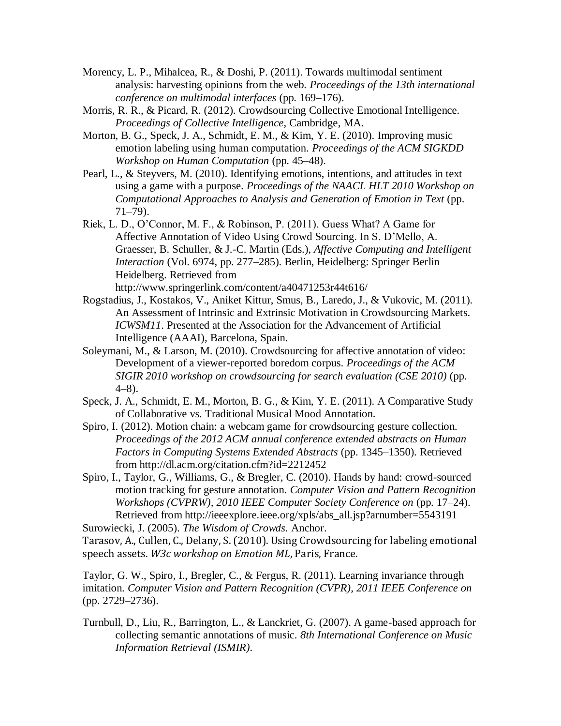- Morency, L. P., Mihalcea, R., & Doshi, P. (2011). Towards multimodal sentiment analysis: harvesting opinions from the web. *Proceedings of the 13th international conference on multimodal interfaces* (pp. 169–176).
- Morris, R. R., & Picard, R. (2012). Crowdsourcing Collective Emotional Intelligence. *Proceedings of Collective Intelligence*, Cambridge, MA.
- Morton, B. G., Speck, J. A., Schmidt, E. M., & Kim, Y. E. (2010). Improving music emotion labeling using human computation. *Proceedings of the ACM SIGKDD Workshop on Human Computation* (pp. 45–48).
- Pearl, L., & Steyvers, M. (2010). Identifying emotions, intentions, and attitudes in text using a game with a purpose. *Proceedings of the NAACL HLT 2010 Workshop on Computational Approaches to Analysis and Generation of Emotion in Text* (pp. 71–79).
- Riek, L. D., O'Connor, M. F., & Robinson, P. (2011). Guess What? A Game for Affective Annotation of Video Using Crowd Sourcing. In S. D'Mello, A. Graesser, B. Schuller, & J.-C. Martin (Eds.), *Affective Computing and Intelligent Interaction* (Vol. 6974, pp. 277–285). Berlin, Heidelberg: Springer Berlin Heidelberg. Retrieved from http://www.springerlink.com/content/a40471253r44t616/
- Rogstadius, J., Kostakos, V., Aniket Kittur, Smus, B., Laredo, J., & Vukovic, M. (2011). An Assessment of Intrinsic and Extrinsic Motivation in Crowdsourcing Markets. *ICWSM11*. Presented at the Association for the Advancement of Artificial Intelligence (AAAI), Barcelona, Spain.
- Soleymani, M., & Larson, M. (2010). Crowdsourcing for affective annotation of video: Development of a viewer-reported boredom corpus. *Proceedings of the ACM SIGIR 2010 workshop on crowdsourcing for search evaluation (CSE 2010)* (pp. 4–8).
- Speck, J. A., Schmidt, E. M., Morton, B. G., & Kim, Y. E. (2011). A Comparative Study of Collaborative vs. Traditional Musical Mood Annotation.
- Spiro, I. (2012). Motion chain: a webcam game for crowdsourcing gesture collection. *Proceedings of the 2012 ACM annual conference extended abstracts on Human Factors in Computing Systems Extended Abstracts* (pp. 1345–1350). Retrieved from http://dl.acm.org/citation.cfm?id=2212452
- Spiro, I., Taylor, G., Williams, G., & Bregler, C. (2010). Hands by hand: crowd-sourced motion tracking for gesture annotation. *Computer Vision and Pattern Recognition Workshops (CVPRW), 2010 IEEE Computer Society Conference on* (pp. 17–24). Retrieved from http://ieeexplore.ieee.org/xpls/abs\_all.jsp?arnumber=5543191
- Surowiecki, J. (2005). *The Wisdom of Crowds*. Anchor.

Tarasov, A., Cullen, C., Delany, S. (2010). Using Crowdsourcing for labeling emotional speech assets. *W3c workshop on Emotion ML*, Paris, France.

Taylor, G. W., Spiro, I., Bregler, C., & Fergus, R. (2011). Learning invariance through imitation. *Computer Vision and Pattern Recognition (CVPR), 2011 IEEE Conference on* (pp. 2729–2736).

Turnbull, D., Liu, R., Barrington, L., & Lanckriet, G. (2007). A game-based approach for collecting semantic annotations of music. *8th International Conference on Music Information Retrieval (ISMIR)*.